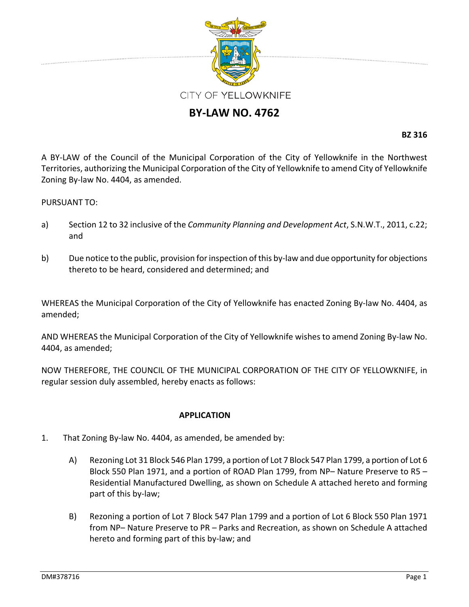

## **BY‐LAW NO. 4762**

**BZ 316**

A BY‐LAW of the Council of the Municipal Corporation of the City of Yellowknife in the Northwest Territories, authorizing the Municipal Corporation of the City of Yellowknife to amend City of Yellowknife Zoning By‐law No. 4404, as amended.

## PURSUANT TO:

- a) Section 12 to 32 inclusive of the *Community Planning and Development Act*, S.N.W.T., 2011, c.22; and
- b) Due notice to the public, provision for inspection of this by-law and due opportunity for objections thereto to be heard, considered and determined; and

WHEREAS the Municipal Corporation of the City of Yellowknife has enacted Zoning By‐law No. 4404, as amended;

AND WHEREAS the Municipal Corporation of the City of Yellowknife wishes to amend Zoning By‐law No. 4404, as amended;

NOW THEREFORE, THE COUNCIL OF THE MUNICIPAL CORPORATION OF THE CITY OF YELLOWKNIFE, in regular session duly assembled, hereby enacts as follows:

## **APPLICATION**

- 1. That Zoning By‐law No. 4404, as amended, be amended by:
	- A) Rezoning Lot 31 Block 546 Plan 1799, a portion of Lot 7 Block 547 Plan 1799, a portion of Lot 6 Block 550 Plan 1971, and a portion of ROAD Plan 1799, from NP– Nature Preserve to R5 – Residential Manufactured Dwelling, as shown on Schedule A attached hereto and forming part of this by‐law;
	- B) Rezoning a portion of Lot 7 Block 547 Plan 1799 and a portion of Lot 6 Block 550 Plan 1971 from NP– Nature Preserve to PR – Parks and Recreation, as shown on Schedule A attached hereto and forming part of this by‐law; and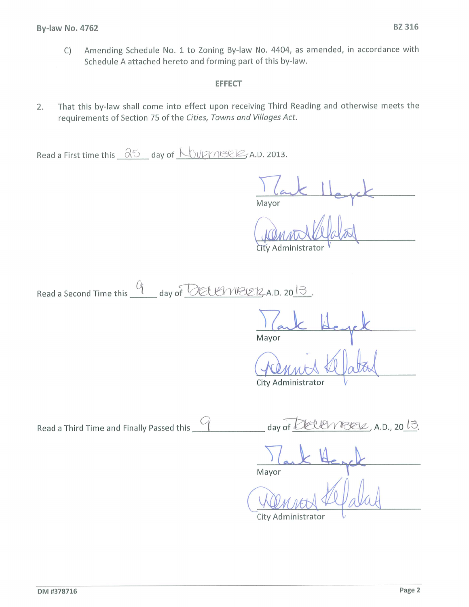Amending Schedule No. 1 to Zoning By-law No. 4404, as amended, in accordance with  $\mathsf{C}$ Schedule A attached hereto and forming part of this by-law.

## **EFFECT**

That this by-law shall come into effect upon receiving Third Reading and otherwise meets the  $2.$ requirements of Section 75 of the Cities, Towns and Villages Act.

Read a First time this  $\frac{\partial 5}{\partial 1}$  day of  $\sqrt{\sqrt{2}}$  A.D. 2013.

Mayor

City Administrator

| Read a Second Time this | day of DELLINBER A.D. 20 $3$ |
|-------------------------|------------------------------|
|-------------------------|------------------------------|

Mayor

City Administrator

Read a Third Time and Finally Passed this  $\bigcirc$ <u>lembrek</u>, A.D., 20 13. day of

Mayor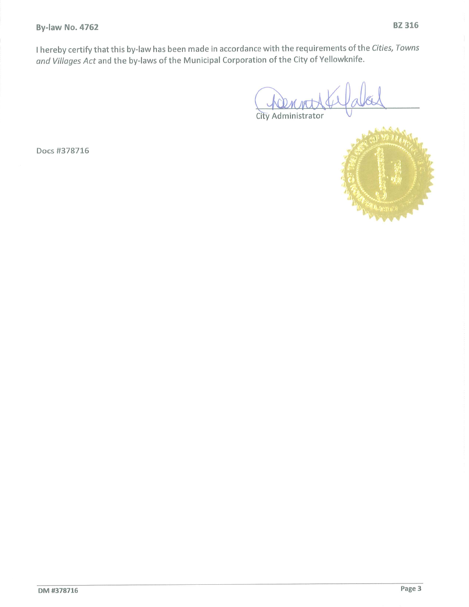**By-law No. 4762** 

I hereby certify that this by-law has been made in accordance with the requirements of the Cities, Towns and Villages Act and the by-laws of the Municipal Corporation of the City of Yellowknife.

City Administrator



Docs #378716